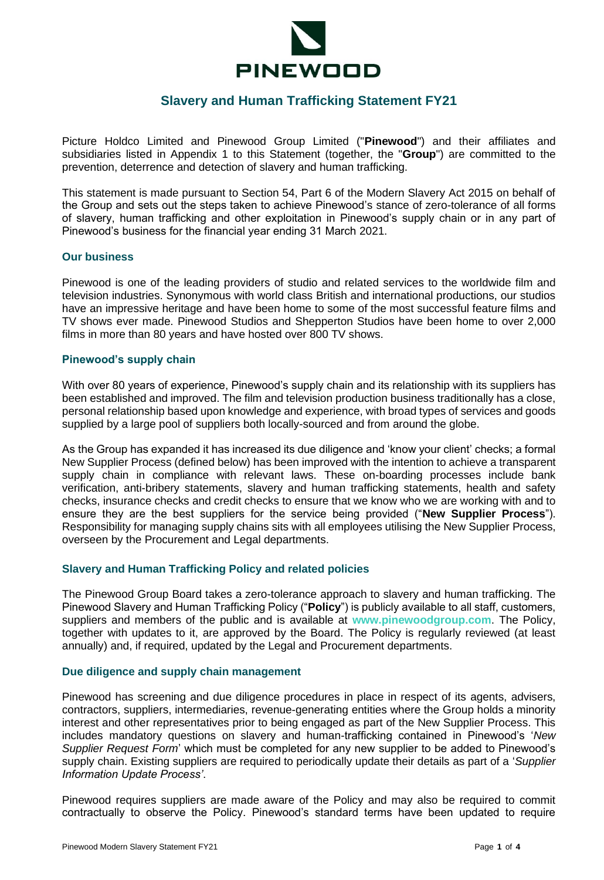

# **Slavery and Human Trafficking Statement FY21**

Picture Holdco Limited and Pinewood Group Limited ("**Pinewood**") and their affiliates and subsidiaries listed in Appendix 1 to this Statement (together, the "**Group**") are committed to the prevention, deterrence and detection of slavery and human trafficking.

This statement is made pursuant to Section 54, Part 6 of the Modern Slavery Act 2015 on behalf of the Group and sets out the steps taken to achieve Pinewood's stance of zero-tolerance of all forms of slavery, human trafficking and other exploitation in Pinewood's supply chain or in any part of Pinewood's business for the financial year ending 31 March 2021.

#### **Our business**

Pinewood is one of the leading providers of studio and related services to the worldwide film and television industries. Synonymous with world class British and international productions, our studios have an impressive heritage and have been home to some of the most successful feature films and TV shows ever made. Pinewood Studios and Shepperton Studios have been home to over 2,000 films in more than 80 years and have hosted over 800 TV shows.

#### **Pinewood's supply chain**

With over 80 years of experience, Pinewood's supply chain and its relationship with its suppliers has been established and improved. The film and television production business traditionally has a close, personal relationship based upon knowledge and experience, with broad types of services and goods supplied by a large pool of suppliers both locally-sourced and from around the globe.

As the Group has expanded it has increased its due diligence and 'know your client' checks; a formal New Supplier Process (defined below) has been improved with the intention to achieve a transparent supply chain in compliance with relevant laws. These on-boarding processes include bank verification, anti-bribery statements, slavery and human trafficking statements, health and safety checks, insurance checks and credit checks to ensure that we know who we are working with and to ensure they are the best suppliers for the service being provided ("**New Supplier Process**"). Responsibility for managing supply chains sits with all employees utilising the New Supplier Process, overseen by the Procurement and Legal departments.

#### **Slavery and Human Trafficking Policy and related policies**

The Pinewood Group Board takes a zero-tolerance approach to slavery and human trafficking. The Pinewood Slavery and Human Trafficking Policy ("**Policy**") is publicly available to all staff, customers, suppliers and members of the public and is available at **[www.pinewoodgroup.com](http://www.pinewoodgroup.com/)**. The Policy, together with updates to it, are approved by the Board. The Policy is regularly reviewed (at least annually) and, if required, updated by the Legal and Procurement departments.

#### **Due diligence and supply chain management**

Pinewood has screening and due diligence procedures in place in respect of its agents, advisers, contractors, suppliers, intermediaries, revenue-generating entities where the Group holds a minority interest and other representatives prior to being engaged as part of the New Supplier Process. This includes mandatory questions on slavery and human-trafficking contained in Pinewood's '*New Supplier Request Form*' which must be completed for any new supplier to be added to Pinewood's supply chain. Existing suppliers are required to periodically update their details as part of a '*Supplier Information Update Process'*.

Pinewood requires suppliers are made aware of the Policy and may also be required to commit contractually to observe the Policy. Pinewood's standard terms have been updated to require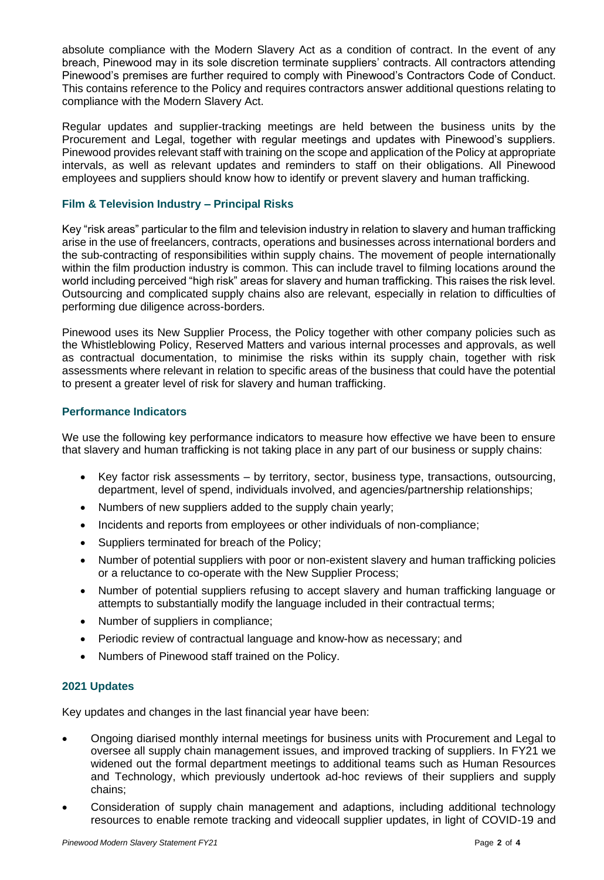absolute compliance with the Modern Slavery Act as a condition of contract. In the event of any breach, Pinewood may in its sole discretion terminate suppliers' contracts. All contractors attending Pinewood's premises are further required to comply with Pinewood's Contractors Code of Conduct. This contains reference to the Policy and requires contractors answer additional questions relating to compliance with the Modern Slavery Act.

Regular updates and supplier-tracking meetings are held between the business units by the Procurement and Legal, together with regular meetings and updates with Pinewood's suppliers. Pinewood provides relevant staff with training on the scope and application of the Policy at appropriate intervals, as well as relevant updates and reminders to staff on their obligations. All Pinewood employees and suppliers should know how to identify or prevent slavery and human trafficking.

#### **Film & Television Industry – Principal Risks**

Key "risk areas" particular to the film and television industry in relation to slavery and human trafficking arise in the use of freelancers, contracts, operations and businesses across international borders and the sub-contracting of responsibilities within supply chains. The movement of people internationally within the film production industry is common. This can include travel to filming locations around the world including perceived "high risk" areas for slavery and human trafficking. This raises the risk level. Outsourcing and complicated supply chains also are relevant, especially in relation to difficulties of performing due diligence across-borders.

Pinewood uses its New Supplier Process, the Policy together with other company policies such as the Whistleblowing Policy, Reserved Matters and various internal processes and approvals, as well as contractual documentation, to minimise the risks within its supply chain, together with risk assessments where relevant in relation to specific areas of the business that could have the potential to present a greater level of risk for slavery and human trafficking.

### **Performance Indicators**

We use the following key performance indicators to measure how effective we have been to ensure that slavery and human trafficking is not taking place in any part of our business or supply chains:

- Key factor risk assessments by territory, sector, business type, transactions, outsourcing, department, level of spend, individuals involved, and agencies/partnership relationships;
- Numbers of new suppliers added to the supply chain yearly;
- Incidents and reports from employees or other individuals of non-compliance;
- Suppliers terminated for breach of the Policy;
- Number of potential suppliers with poor or non-existent slavery and human trafficking policies or a reluctance to co-operate with the New Supplier Process;
- Number of potential suppliers refusing to accept slavery and human trafficking language or attempts to substantially modify the language included in their contractual terms;
- Number of suppliers in compliance;
- Periodic review of contractual language and know-how as necessary; and
- Numbers of Pinewood staff trained on the Policy.

#### **2021 Updates**

Key updates and changes in the last financial year have been:

- Ongoing diarised monthly internal meetings for business units with Procurement and Legal to oversee all supply chain management issues, and improved tracking of suppliers. In FY21 we widened out the formal department meetings to additional teams such as Human Resources and Technology, which previously undertook ad-hoc reviews of their suppliers and supply chains;
- Consideration of supply chain management and adaptions, including additional technology resources to enable remote tracking and videocall supplier updates, in light of COVID-19 and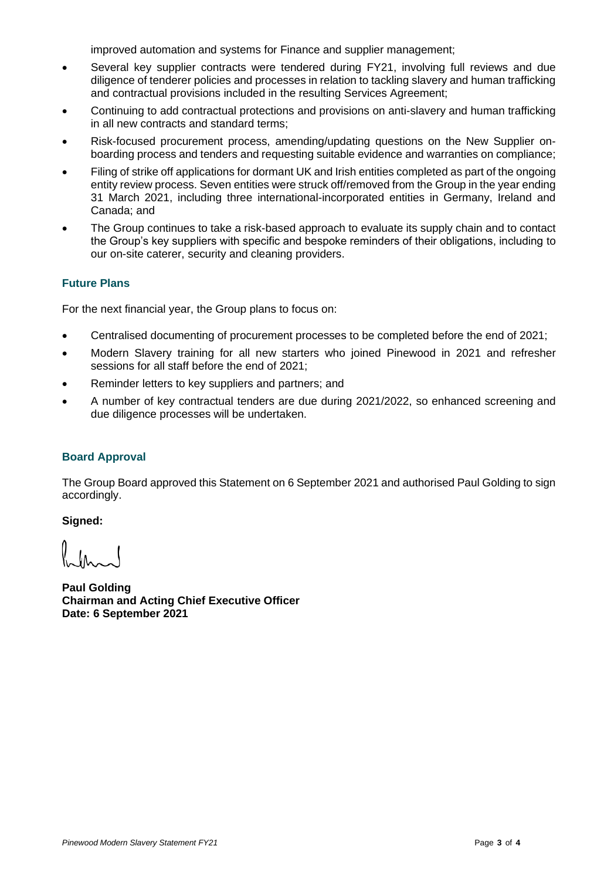improved automation and systems for Finance and supplier management;

- Several key supplier contracts were tendered during FY21, involving full reviews and due diligence of tenderer policies and processes in relation to tackling slavery and human trafficking and contractual provisions included in the resulting Services Agreement;
- Continuing to add contractual protections and provisions on anti-slavery and human trafficking in all new contracts and standard terms;
- Risk-focused procurement process, amending/updating questions on the New Supplier onboarding process and tenders and requesting suitable evidence and warranties on compliance;
- Filing of strike off applications for dormant UK and Irish entities completed as part of the ongoing entity review process. Seven entities were struck off/removed from the Group in the year ending 31 March 2021, including three international-incorporated entities in Germany, Ireland and Canada; and
- The Group continues to take a risk-based approach to evaluate its supply chain and to contact the Group's key suppliers with specific and bespoke reminders of their obligations, including to our on-site caterer, security and cleaning providers.

## **Future Plans**

For the next financial year, the Group plans to focus on:

- Centralised documenting of procurement processes to be completed before the end of 2021;
- Modern Slavery training for all new starters who joined Pinewood in 2021 and refresher sessions for all staff before the end of 2021;
- Reminder letters to key suppliers and partners; and
- A number of key contractual tenders are due during 2021/2022, so enhanced screening and due diligence processes will be undertaken.

## **Board Approval**

The Group Board approved this Statement on 6 September 2021 and authorised Paul Golding to sign accordingly.

**Signed:** 

**Paul Golding Chairman and Acting Chief Executive Officer Date: 6 September 2021**